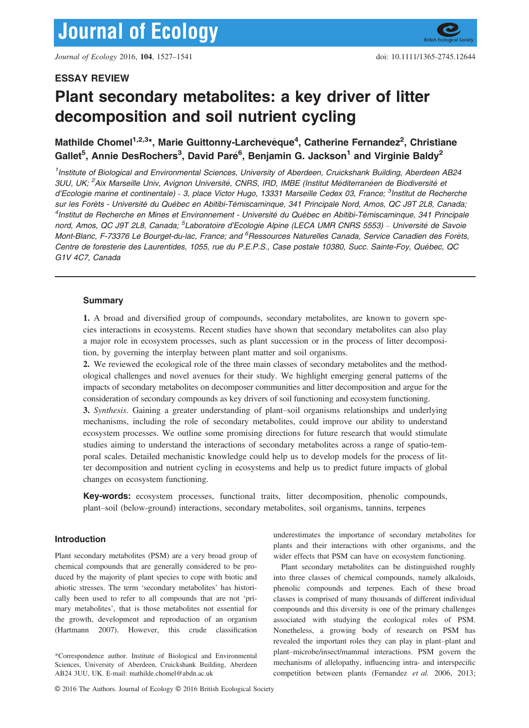

# ESSAY REVIEW

# Plant secondary metabolites: a key driver of litter decomposition and soil nutrient cycling

Mathilde Chomel<sup>1,2,3</sup>\*, Marie Guittonny-Larchevêque<sup>4</sup>, Catherine Fernandez<sup>2</sup>, Christiane Gallet<sup>5</sup>, Annie DesRochers<sup>3</sup>, David Paré<sup>6</sup>, Benjamin G. Jackson<sup>1</sup> and Virginie Baldy<sup>2</sup>

<sup>1</sup>Institute of Biological and Environmental Sciences, University of Aberdeen, Cruickshank Building, Aberdeen AB24 3UU, UK; <sup>2</sup>Aix Marseille Univ, Avignon Université, CNRS, IRD, IMBE (Institut Méditerranéen de Biodiversité et d'Ecologie marine et continentale) - 3, place Victor Hugo, 13331 Marseille Cedex 03, France; <sup>3</sup>Institut de Recherche sur les Forêts - Université du Québec en Abitibi-Témiscaminque, 341 Principale Nord, Amos, QC J9T 2L8, Canada; <sup>4</sup>Institut de Recherche en Mines et Environnement - Université du Québec en Abitibi-Témiscaminque, 341 Principale nord, Amos, QC J9T 2L8, Canada; <sup>5</sup>Laboratoire d'Ecologie Alpine (LECA UMR CNRS 5553) – Université de Savoie Mont-Blanc, F-73376 Le Bourget-du-lac, France; and <sup>6</sup>Ressources Naturelles Canada, Service Canadien des Forêts, Centre de foresterie des Laurentides, 1055, rue du P.E.P.S., Case postale 10380, Succ. Sainte-Foy, Quebec, QC G1V 4C7, Canada

## Summary

1. A broad and diversified group of compounds, secondary metabolites, are known to govern species interactions in ecosystems. Recent studies have shown that secondary metabolites can also play a major role in ecosystem processes, such as plant succession or in the process of litter decomposition, by governing the interplay between plant matter and soil organisms.

2. We reviewed the ecological role of the three main classes of secondary metabolites and the methodological challenges and novel avenues for their study. We highlight emerging general patterns of the impacts of secondary metabolites on decomposer communities and litter decomposition and argue for the consideration of secondary compounds as key drivers of soil functioning and ecosystem functioning.

3. Synthesis. Gaining a greater understanding of plant–soil organisms relationships and underlying mechanisms, including the role of secondary metabolites, could improve our ability to understand ecosystem processes. We outline some promising directions for future research that would stimulate studies aiming to understand the interactions of secondary metabolites across a range of spatio-temporal scales. Detailed mechanistic knowledge could help us to develop models for the process of litter decomposition and nutrient cycling in ecosystems and help us to predict future impacts of global changes on ecosystem functioning.

Key-words: ecosystem processes, functional traits, litter decomposition, phenolic compounds, plant–soil (below-ground) interactions, secondary metabolites, soil organisms, tannins, terpenes

#### Introduction

Plant secondary metabolites (PSM) are a very broad group of chemical compounds that are generally considered to be produced by the majority of plant species to cope with biotic and abiotic stresses. The term 'secondary metabolites' has historically been used to refer to all compounds that are not 'primary metabolites', that is those metabolites not essential for the growth, development and reproduction of an organism (Hartmann 2007). However, this crude classification underestimates the importance of secondary metabolites for plants and their interactions with other organisms, and the wider effects that PSM can have on ecosystem functioning.

Plant secondary metabolites can be distinguished roughly into three classes of chemical compounds, namely alkaloids, phenolic compounds and terpenes. Each of these broad classes is comprised of many thousands of different individual compounds and this diversity is one of the primary challenges associated with studying the ecological roles of PSM. Nonetheless, a growing body of research on PSM has revealed the important roles they can play in plant–plant and plant–microbe/insect/mammal interactions. PSM govern the mechanisms of allelopathy, influencing intra- and interspecific competition between plants (Fernandez et al. 2006, 2013;

<sup>\*</sup>Correspondence author. Institute of Biological and Environmental Sciences, University of Aberdeen, Cruickshank Building, Aberdeen AB24 3UU, UK. E-mail: mathilde.chomel@abdn.ac.uk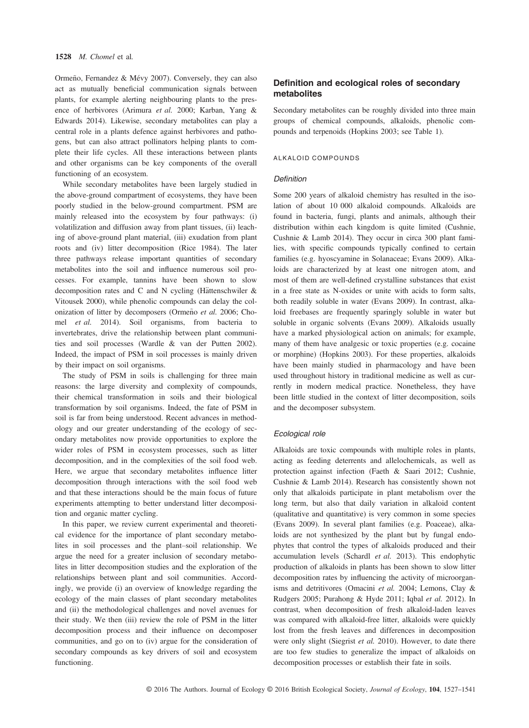Ormeño, Fernandez & Mévy 2007). Conversely, they can also act as mutually beneficial communication signals between plants, for example alerting neighbouring plants to the presence of herbivores (Arimura et al. 2000; Karban, Yang & Edwards 2014). Likewise, secondary metabolites can play a central role in a plants defence against herbivores and pathogens, but can also attract pollinators helping plants to complete their life cycles. All these interactions between plants and other organisms can be key components of the overall functioning of an ecosystem.

While secondary metabolites have been largely studied in the above-ground compartment of ecosystems, they have been poorly studied in the below-ground compartment. PSM are mainly released into the ecosystem by four pathways: (i) volatilization and diffusion away from plant tissues, (ii) leaching of above-ground plant material, (iii) exudation from plant roots and (iv) litter decomposition (Rice 1984). The later three pathways release important quantities of secondary metabolites into the soil and influence numerous soil processes. For example, tannins have been shown to slow decomposition rates and C and N cycling (Hättenschwiler  $\&$ Vitousek 2000), while phenolic compounds can delay the colonization of litter by decomposers (Ormeño et al. 2006; Chomel et al. 2014). Soil organisms, from bacteria to invertebrates, drive the relationship between plant communities and soil processes (Wardle & van der Putten 2002). Indeed, the impact of PSM in soil processes is mainly driven by their impact on soil organisms.

The study of PSM in soils is challenging for three main reasons: the large diversity and complexity of compounds, their chemical transformation in soils and their biological transformation by soil organisms. Indeed, the fate of PSM in soil is far from being understood. Recent advances in methodology and our greater understanding of the ecology of secondary metabolites now provide opportunities to explore the wider roles of PSM in ecosystem processes, such as litter decomposition, and in the complexities of the soil food web. Here, we argue that secondary metabolites influence litter decomposition through interactions with the soil food web and that these interactions should be the main focus of future experiments attempting to better understand litter decomposition and organic matter cycling.

In this paper, we review current experimental and theoretical evidence for the importance of plant secondary metabolites in soil processes and the plant–soil relationship. We argue the need for a greater inclusion of secondary metabolites in litter decomposition studies and the exploration of the relationships between plant and soil communities. Accordingly, we provide (i) an overview of knowledge regarding the ecology of the main classes of plant secondary metabolites and (ii) the methodological challenges and novel avenues for their study. We then (iii) review the role of PSM in the litter decomposition process and their influence on decomposer communities, and go on to (iv) argue for the consideration of secondary compounds as key drivers of soil and ecosystem functioning.

# Definition and ecological roles of secondary metabolites

Secondary metabolites can be roughly divided into three main groups of chemical compounds, alkaloids, phenolic compounds and terpenoids (Hopkins 2003; see Table 1).

#### ALKALOID COMPOUNDS

#### **Definition**

Some 200 years of alkaloid chemistry has resulted in the isolation of about 10 000 alkaloid compounds. Alkaloids are found in bacteria, fungi, plants and animals, although their distribution within each kingdom is quite limited (Cushnie, Cushnie & Lamb 2014). They occur in circa 300 plant families, with specific compounds typically confined to certain families (e.g. hyoscyamine in Solanaceae; Evans 2009). Alkaloids are characterized by at least one nitrogen atom, and most of them are well-defined crystalline substances that exist in a free state as N-oxides or unite with acids to form salts, both readily soluble in water (Evans 2009). In contrast, alkaloid freebases are frequently sparingly soluble in water but soluble in organic solvents (Evans 2009). Alkaloids usually have a marked physiological action on animals; for example, many of them have analgesic or toxic properties (e.g. cocaine or morphine) (Hopkins 2003). For these properties, alkaloids have been mainly studied in pharmacology and have been used throughout history in traditional medicine as well as currently in modern medical practice. Nonetheless, they have been little studied in the context of litter decomposition, soils and the decomposer subsystem.

# Ecological role

Alkaloids are toxic compounds with multiple roles in plants, acting as feeding deterrents and allelochemicals, as well as protection against infection (Faeth & Saari 2012; Cushnie, Cushnie & Lamb 2014). Research has consistently shown not only that alkaloids participate in plant metabolism over the long term, but also that daily variation in alkaloid content (qualitative and quantitative) is very common in some species (Evans 2009). In several plant families (e.g. Poaceae), alkaloids are not synthesized by the plant but by fungal endophytes that control the types of alkaloids produced and their accumulation levels (Schardl et al. 2013). This endophytic production of alkaloids in plants has been shown to slow litter decomposition rates by influencing the activity of microorganisms and detritivores (Omacini et al. 2004; Lemons, Clay & Rudgers 2005; Purahong & Hyde 2011; Iqbal et al. 2012). In contrast, when decomposition of fresh alkaloid-laden leaves was compared with alkaloid-free litter, alkaloids were quickly lost from the fresh leaves and differences in decomposition were only slight (Siegrist et al. 2010). However, to date there are too few studies to generalize the impact of alkaloids on decomposition processes or establish their fate in soils.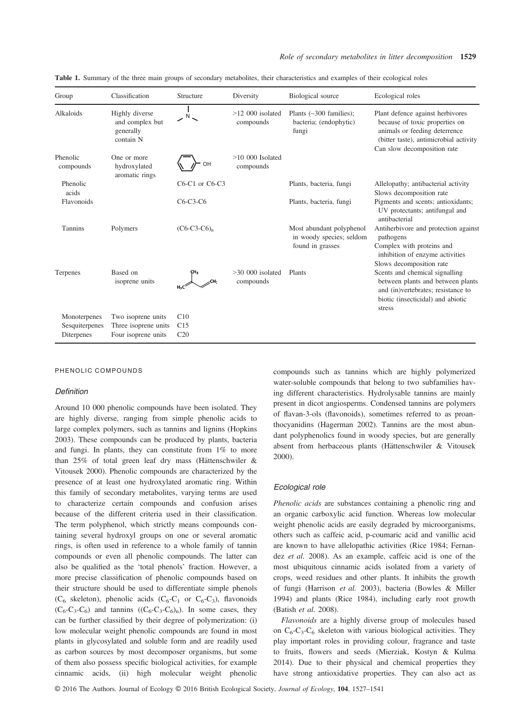| Group                          | Classification                                              | Structure                 | Diversity                       | Biological source                                                        | Ecological roles                                                                                                                                                             |
|--------------------------------|-------------------------------------------------------------|---------------------------|---------------------------------|--------------------------------------------------------------------------|------------------------------------------------------------------------------------------------------------------------------------------------------------------------------|
| Alkaloids                      | Highly diverse<br>and complex but<br>generally<br>contain N | $\sim$ $^{\circ}$         | $>12$ 000 isolated<br>compounds | Plants $(\sim 300$ families);<br>bacteria; (endophytic)<br>fungi         | Plant defence against herbivores<br>because of toxic properties on<br>animals or feeding deterrence<br>(bitter taste), antimicrobial activity<br>Can slow decomposition rate |
| Phenolic<br>compounds          | One or more<br>hydroxylated<br>aromatic rings               | OH                        | $>10$ 000 Isolated<br>compounds |                                                                          |                                                                                                                                                                              |
| Phenolic<br>acids              |                                                             | $C6-C1$ or $C6-C3$        |                                 | Plants, bacteria, fungi                                                  | Allelopathy; antibacterial activity<br>Slows decomposition rate                                                                                                              |
| Flavonoids                     |                                                             | $C6-C3-C6$                |                                 | Plants, bacteria, fungi                                                  | Pigments and scents; antioxidants;<br>UV protectants; antifungal and<br>antibacterial                                                                                        |
| Tannins                        | Polymers                                                    | $(C6-C3-C6)$ <sub>n</sub> |                                 | Most abundant polyphenol<br>in woody species; seldom<br>found in grasses | Antiherbivore and protection against<br>pathogens<br>Complex with proteins and<br>inhibition of enzyme activities<br>Slows decomposition rate                                |
| Terpenes                       | Based on<br>isoprene units                                  |                           | $>30$ 000 isolated<br>compounds | Plants                                                                   | Scents and chemical signalling<br>between plants and between plants<br>and (in)vertebrates; resistance to<br>biotic (insecticidal) and abiotic<br>stress                     |
| Monoterpenes<br>Sesquiterpenes | Two isoprene units<br>Three isoprene units                  | C10<br>C15                |                                 |                                                                          |                                                                                                                                                                              |
| Diterpenes                     | Four isoprene units                                         | C20                       |                                 |                                                                          |                                                                                                                                                                              |

Table 1. Summary of the three main groups of secondary metabolites, their characteristics and examples of their ecological roles

#### PHENOLIC COMPOUNDS

#### **Definition**

Around 10 000 phenolic compounds have been isolated. They are highly diverse, ranging from simple phenolic acids to large complex polymers, such as tannins and lignins (Hopkins 2003). These compounds can be produced by plants, bacteria and fungi. In plants, they can constitute from 1% to more than 25% of total green leaf dry mass (Hättenschwiler  $\&$ Vitousek 2000). Phenolic compounds are characterized by the presence of at least one hydroxylated aromatic ring. Within this family of secondary metabolites, varying terms are used to characterize certain compounds and confusion arises because of the different criteria used in their classification. The term polyphenol, which strictly means compounds containing several hydroxyl groups on one or several aromatic rings, is often used in reference to a whole family of tannin compounds or even all phenolic compounds. The latter can also be qualified as the 'total phenols' fraction. However, a more precise classification of phenolic compounds based on their structure should be used to differentiate simple phenols ( $C_6$  skeleton), phenolic acids ( $C_6$ - $C_1$  or  $C_6$ - $C_3$ ), flavonoids  $(C_6-C_3-C_6)$  and tannins  $((C_6-C_3-C_6)_n)$ . In some cases, they can be further classified by their degree of polymerization: (i) low molecular weight phenolic compounds are found in most plants in glycosylated and soluble form and are readily used as carbon sources by most decomposer organisms, but some of them also possess specific biological activities, for example cinnamic acids, (ii) high molecular weight phenolic compounds such as tannins which are highly polymerized water-soluble compounds that belong to two subfamilies having different characteristics. Hydrolysable tannins are mainly present in dicot angiosperms. Condensed tannins are polymers of flavan-3-ols (flavonoids), sometimes referred to as proanthocyanidins (Hagerman 2002). Tannins are the most abundant polyphenolics found in woody species, but are generally absent from herbaceous plants (Hättenschwiler & Vitousek 2000).

#### Ecological role

Phenolic acids are substances containing a phenolic ring and an organic carboxylic acid function. Whereas low molecular weight phenolic acids are easily degraded by microorganisms, others such as caffeic acid, p-coumaric acid and vanillic acid are known to have allelopathic activities (Rice 1984; Fernandez et al. 2008). As an example, caffeic acid is one of the most ubiquitous cinnamic acids isolated from a variety of crops, weed residues and other plants. It inhibits the growth of fungi (Harrison et al. 2003), bacteria (Bowles & Miller 1994) and plants (Rice 1984), including early root growth (Batish et al. 2008).

Flavonoids are a highly diverse group of molecules based on  $C_6$ - $C_3$ - $C_6$  skeleton with various biological activities. They play important roles in providing colour, fragrance and taste to fruits, flowers and seeds (Mierziak, Kostyn & Kulma 2014). Due to their physical and chemical properties they have strong antioxidative properties. They can also act as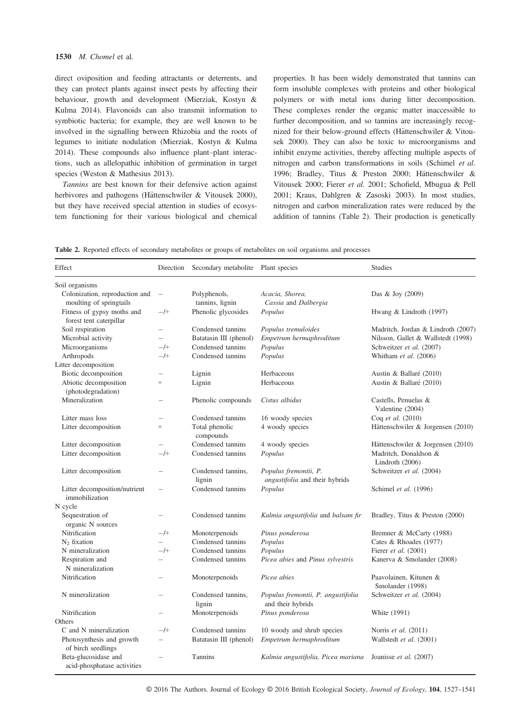direct oviposition and feeding attractants or deterrents, and they can protect plants against insect pests by affecting their behaviour, growth and development (Mierziak, Kostyn & Kulma 2014). Flavonoids can also transmit information to symbiotic bacteria; for example, they are well known to be involved in the signalling between Rhizobia and the roots of legumes to initiate nodulation (Mierziak, Kostyn & Kulma 2014). These compounds also influence plant–plant interactions, such as allelopathic inhibition of germination in target species (Weston & Mathesius 2013).

Tannins are best known for their defensive action against herbivores and pathogens (Hättenschwiler & Vitousek 2000), but they have received special attention in studies of ecosystem functioning for their various biological and chemical

properties. It has been widely demonstrated that tannins can form insoluble complexes with proteins and other biological polymers or with metal ions during litter decomposition. These complexes render the organic matter inaccessible to further decomposition, and so tannins are increasingly recognized for their below-ground effects (Hättenschwiler & Vitousek 2000). They can also be toxic to microorganisms and inhibit enzyme activities, thereby affecting multiple aspects of nitrogen and carbon transformations in soils (Schimel et al. 1996; Bradley, Titus & Preston 2000; Hättenschwiler & Vitousek 2000; Fierer et al. 2001; Schofield, Mbugua & Pell 2001; Kraus, Dahlgren & Zasoski 2003). In most studies, nitrogen and carbon mineralization rates were reduced by the addition of tannins (Table 2). Their production is genetically

Table 2. Reported effects of secondary metabolites or groups of metabolites on soil organisms and processes

| Effect                                              | Direction                | Secondary metabolite         | Plant species                                           | <b>Studies</b>                             |  |  |
|-----------------------------------------------------|--------------------------|------------------------------|---------------------------------------------------------|--------------------------------------------|--|--|
| Soil organisms                                      |                          |                              |                                                         |                                            |  |  |
| Colonization, reproduction and                      | $\overline{\phantom{m}}$ | Polyphenols,                 | Acacia, Shorea,                                         | Das & Joy (2009)                           |  |  |
| moulting of springtails                             |                          | tannins, lignin              | Cassia and Dalbergia                                    |                                            |  |  |
| Fitness of gypsy moths and                          | $-$ /+                   | Phenolic glycosides          | Populus                                                 | Hwang $& Lindroth(1997)$                   |  |  |
| forest tent caterpillar                             |                          |                              |                                                         |                                            |  |  |
| Soil respiration                                    |                          | Condensed tannins            | Populus tremuloides                                     | Madritch, Jordan & Lindroth (2007)         |  |  |
| Microbial activity                                  | $\equiv$                 | Batatasin III (phenol)       | Empetrum hermaphroditum                                 | Nilsson, Gallet & Wallstedt (1998)         |  |  |
| Microorganisms                                      | $-$ /+                   | Condensed tannins            | Populus                                                 | Schweitzer et al. (2007)                   |  |  |
| Arthropods                                          | $-$ /+                   | Condensed tannins            | Populus                                                 | Whitham et al. (2006)                      |  |  |
| Litter decomposition                                |                          |                              |                                                         |                                            |  |  |
| Biotic decomposition                                |                          | Lignin                       | Herbaceous                                              | Austin & Ballaré (2010)                    |  |  |
| Abiotic decomposition                               | $^{+}$                   | Lignin                       | Herbaceous                                              | Austin & Ballaré (2010)                    |  |  |
| (photodegradation)                                  |                          |                              |                                                         |                                            |  |  |
| Mineralization                                      |                          | Phenolic compounds           | Cistus albidus                                          | Castells, Penuelas &                       |  |  |
|                                                     |                          |                              |                                                         | Valentine (2004)                           |  |  |
| Litter mass loss                                    |                          | Condensed tannins            | 16 woody species                                        | Coq et al. (2010)                          |  |  |
| Litter decomposition                                | $^{+}$                   | Total phenolic<br>compounds  | 4 woody species                                         | Hättenschwiler & Jorgensen (2010)          |  |  |
| Litter decomposition                                |                          | Condensed tannins            | 4 woody species                                         | Hättenschwiler & Jorgensen (2010)          |  |  |
| Litter decomposition                                | $-$ /+                   | Condensed tannins            | Populus                                                 | Madritch, Donaldson &<br>Lindroth $(2006)$ |  |  |
| Litter decomposition                                |                          | Condensed tannins,<br>lignin | Populus fremontii, P.<br>angustifolia and their hybrids | Schweitzer et al. (2004)                   |  |  |
| Litter decomposition/nutrient<br>immobilization     |                          | Condensed tannins            | Populus                                                 | Schimel et al. (1996)                      |  |  |
| N cycle                                             |                          |                              |                                                         |                                            |  |  |
| Sequestration of<br>organic N sources               |                          | Condensed tannins            | Kalmia angustifolia and balsam fir                      | Bradley, Titus & Preston (2000)            |  |  |
| Nitrification                                       | $-$ /+                   | Monoterpenoids               | Pinus ponderosa                                         | Bremner & McCarty (1988)                   |  |  |
| $N_2$ fixation                                      | $\equiv$                 | Condensed tannins            | Populus                                                 | Cates & Rhoades (1977)                     |  |  |
| N mineralization                                    | $-$ /+                   | Condensed tannins            | Populus                                                 | Fierer et al. (2001)                       |  |  |
| Respiration and                                     |                          | Condensed tannins            | Picea abies and Pinus sylvestris                        | Kanerva & Smolander (2008)                 |  |  |
| N mineralization                                    |                          |                              |                                                         |                                            |  |  |
| Nitrification                                       |                          | Monoterpenoids               | Picea abies                                             | Paavolainen, Kitunen &<br>Smolander (1998) |  |  |
| N mineralization                                    |                          | Condensed tannins,<br>lignin | Populus fremontii, P. angustifolia<br>and their hybrids | Schweitzer et al. (2004)                   |  |  |
| Nitrification                                       |                          | Monoterpenoids               | Pinus ponderosa                                         | White (1991)                               |  |  |
| Others                                              |                          |                              |                                                         |                                            |  |  |
| C and N mineralization                              | $-$ /+                   | Condensed tannins            | 10 woody and shrub species                              | Norris et al. (2011)                       |  |  |
| Photosynthesis and growth                           | $\qquad \qquad -$        | Batatasin III (phenol)       | Empetrum hermaphroditum                                 | Wallstedt et al. (2001)                    |  |  |
| of birch seedlings                                  |                          |                              |                                                         |                                            |  |  |
| Beta-glucosidase and<br>acid-phosphatase activities |                          | Tannins                      | Kalmia angustifolia, Picea mariana                      | Joanisse et al. (2007)                     |  |  |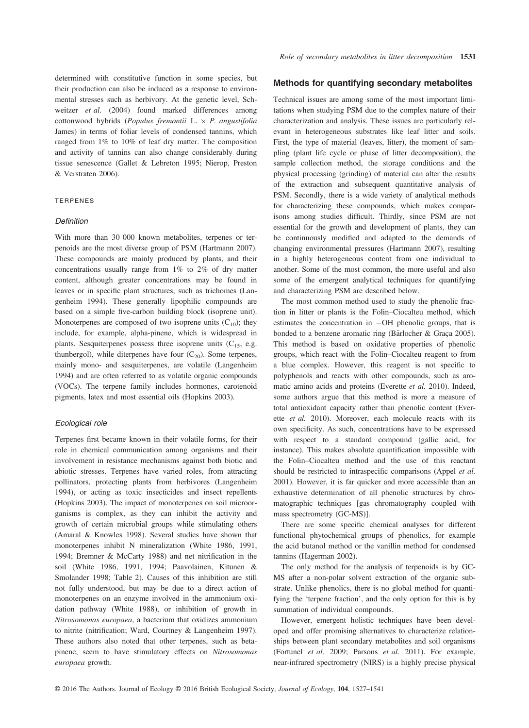determined with constitutive function in some species, but their production can also be induced as a response to environmental stresses such as herbivory. At the genetic level, Schweitzer et al. (2004) found marked differences among cottonwood hybrids (Populus fremontii L.  $\times$  P. angustifolia James) in terms of foliar levels of condensed tannins, which ranged from 1% to 10% of leaf dry matter. The composition and activity of tannins can also change considerably during tissue senescence (Gallet & Lebreton 1995; Nierop, Preston & Verstraten 2006).

#### **TERPENES**

## Definition

With more than 30 000 known metabolites, terpenes or terpenoids are the most diverse group of PSM (Hartmann 2007). These compounds are mainly produced by plants, and their concentrations usually range from 1% to 2% of dry matter content, although greater concentrations may be found in leaves or in specific plant structures, such as trichomes (Langenheim 1994). These generally lipophilic compounds are based on a simple five-carbon building block (isoprene unit). Monoterpenes are composed of two isoprene units  $(C_{10})$ ; they include, for example, alpha-pinene, which is widespread in plants. Sesquiterpenes possess three isoprene units  $(C_{15}, e.g.,)$ thunbergol), while diterpenes have four  $(C_{20})$ . Some terpenes, mainly mono- and sesquiterpenes, are volatile (Langenheim 1994) and are often referred to as volatile organic compounds (VOCs). The terpene family includes hormones, carotenoid pigments, latex and most essential oils (Hopkins 2003).

#### Ecological role

Terpenes first became known in their volatile forms, for their role in chemical communication among organisms and their involvement in resistance mechanisms against both biotic and abiotic stresses. Terpenes have varied roles, from attracting pollinators, protecting plants from herbivores (Langenheim 1994), or acting as toxic insecticides and insect repellents (Hopkins 2003). The impact of monoterpenes on soil microorganisms is complex, as they can inhibit the activity and growth of certain microbial groups while stimulating others (Amaral & Knowles 1998). Several studies have shown that monoterpenes inhibit N mineralization (White 1986, 1991, 1994; Bremner & McCarty 1988) and net nitrification in the soil (White 1986, 1991, 1994; Paavolainen, Kitunen & Smolander 1998; Table 2). Causes of this inhibition are still not fully understood, but may be due to a direct action of monoterpenes on an enzyme involved in the ammonium oxidation pathway (White 1988), or inhibition of growth in Nitrosomonas europaea, a bacterium that oxidizes ammonium to nitrite (nitrification; Ward, Courtney & Langenheim 1997). These authors also noted that other terpenes, such as betapinene, seem to have stimulatory effects on Nitrosomonas europaea growth.

#### Methods for quantifying secondary metabolites

Technical issues are among some of the most important limitations when studying PSM due to the complex nature of their characterization and analysis. These issues are particularly relevant in heterogeneous substrates like leaf litter and soils. First, the type of material (leaves, litter), the moment of sampling (plant life cycle or phase of litter decomposition), the sample collection method, the storage conditions and the physical processing (grinding) of material can alter the results of the extraction and subsequent quantitative analysis of PSM. Secondly, there is a wide variety of analytical methods for characterizing these compounds, which makes comparisons among studies difficult. Thirdly, since PSM are not essential for the growth and development of plants, they can be continuously modified and adapted to the demands of changing environmental pressures (Hartmann 2007), resulting in a highly heterogeneous content from one individual to another. Some of the most common, the more useful and also some of the emergent analytical techniques for quantifying and characterizing PSM are described below.

The most common method used to study the phenolic fraction in litter or plants is the Folin–Ciocalteu method, which estimates the concentration in OH phenolic groups, that is bonded to a benzene aromatic ring (Bärlocher & Graça 2005). This method is based on oxidative properties of phenolic groups, which react with the Folin–Ciocalteu reagent to from a blue complex. However, this reagent is not specific to polyphenols and reacts with other compounds, such as aromatic amino acids and proteins (Everette et al. 2010). Indeed, some authors argue that this method is more a measure of total antioxidant capacity rather than phenolic content (Everette et al. 2010). Moreover, each molecule reacts with its own specificity. As such, concentrations have to be expressed with respect to a standard compound (gallic acid, for instance). This makes absolute quantification impossible with the Folin–Ciocalteu method and the use of this reactant should be restricted to intraspecific comparisons (Appel et al. 2001). However, it is far quicker and more accessible than an exhaustive determination of all phenolic structures by chromatographic techniques [gas chromatography coupled with mass spectrometry (GC-MS)].

There are some specific chemical analyses for different functional phytochemical groups of phenolics, for example the acid butanol method or the vanillin method for condensed tannins (Hagerman 2002).

The only method for the analysis of terpenoids is by GC-MS after a non-polar solvent extraction of the organic substrate. Unlike phenolics, there is no global method for quantifying the 'terpene fraction', and the only option for this is by summation of individual compounds.

However, emergent holistic techniques have been developed and offer promising alternatives to characterize relationships between plant secondary metabolites and soil organisms (Fortunel et al. 2009; Parsons et al. 2011). For example, near-infrared spectrometry (NIRS) is a highly precise physical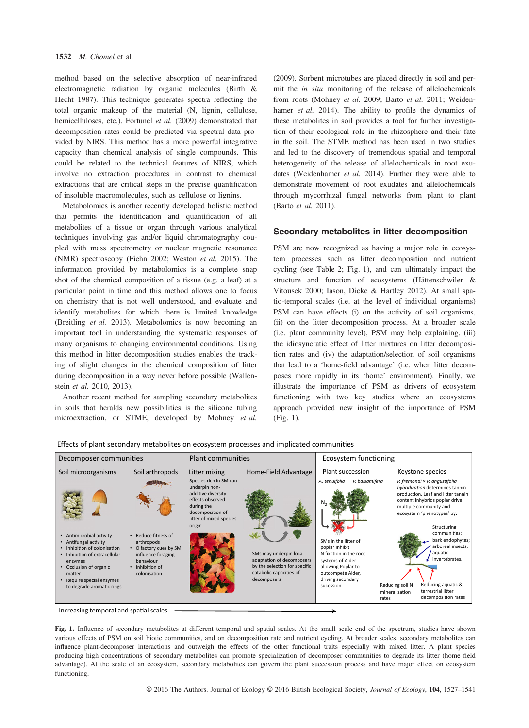method based on the selective absorption of near-infrared electromagnetic radiation by organic molecules (Birth & Hecht 1987). This technique generates spectra reflecting the total organic makeup of the material (N, lignin, cellulose, hemicelluloses, etc.). Fortunel et al. (2009) demonstrated that decomposition rates could be predicted via spectral data provided by NIRS. This method has a more powerful integrative capacity than chemical analysis of single compounds. This could be related to the technical features of NIRS, which involve no extraction procedures in contrast to chemical extractions that are critical steps in the precise quantification of insoluble macromolecules, such as cellulose or lignins.

Metabolomics is another recently developed holistic method that permits the identification and quantification of all metabolites of a tissue or organ through various analytical techniques involving gas and/or liquid chromatography coupled with mass spectrometry or nuclear magnetic resonance (NMR) spectroscopy (Fiehn 2002; Weston et al. 2015). The information provided by metabolomics is a complete snap shot of the chemical composition of a tissue (e.g. a leaf) at a particular point in time and this method allows one to focus on chemistry that is not well understood, and evaluate and identify metabolites for which there is limited knowledge (Breitling et al. 2013). Metabolomics is now becoming an important tool in understanding the systematic responses of many organisms to changing environmental conditions. Using this method in litter decomposition studies enables the tracking of slight changes in the chemical composition of litter during decomposition in a way never before possible (Wallenstein et al. 2010, 2013).

Another recent method for sampling secondary metabolites in soils that heralds new possibilities is the silicone tubing microextraction, or STME, developed by Mohney et al.

(2009). Sorbent microtubes are placed directly in soil and permit the in situ monitoring of the release of allelochemicals from roots (Mohney et al. 2009; Barto et al. 2011; Weidenhamer et al. 2014). The ability to profile the dynamics of these metabolites in soil provides a tool for further investigation of their ecological role in the rhizosphere and their fate in the soil. The STME method has been used in two studies and led to the discovery of tremendous spatial and temporal heterogeneity of the release of allelochemicals in root exudates (Weidenhamer et al. 2014). Further they were able to demonstrate movement of root exudates and allelochemicals through mycorrhizal fungal networks from plant to plant (Barto et al. 2011).

### Secondary metabolites in litter decomposition

PSM are now recognized as having a major role in ecosystem processes such as litter decomposition and nutrient cycling (see Table 2; Fig. 1), and can ultimately impact the structure and function of ecosystems (Hättenschwiler & Vitousek 2000; Iason, Dicke & Hartley 2012). At small spatio-temporal scales (i.e. at the level of individual organisms) PSM can have effects (i) on the activity of soil organisms, (ii) on the litter decomposition process. At a broader scale (i.e. plant community level), PSM may help explaining, (iii) the idiosyncratic effect of litter mixtures on litter decomposition rates and (iv) the adaptation/selection of soil organisms that lead to a 'home-field advantage' (i.e. when litter decomposes more rapidly in its 'home' environment). Finally, we illustrate the importance of PSM as drivers of ecosystem functioning with two key studies where an ecosystems approach provided new insight of the importance of PSM (Fig. 1).



Effects of plant secondary metabolites on ecosystem processes and implicated communities

Increasing temporal and spatial scales

Fig. 1. Influence of secondary metabolites at different temporal and spatial scales. At the small scale end of the spectrum, studies have shown various effects of PSM on soil biotic communities, and on decomposition rate and nutrient cycling. At broader scales, secondary metabolites can influence plant-decomposer interactions and outweigh the effects of the other functional traits especially with mixed litter. A plant species producing high concentrations of secondary metabolites can promote specialization of decomposer communities to degrade its litter (home field advantage). At the scale of an ecosystem, secondary metabolites can govern the plant succession process and have major effect on ecosystem functioning.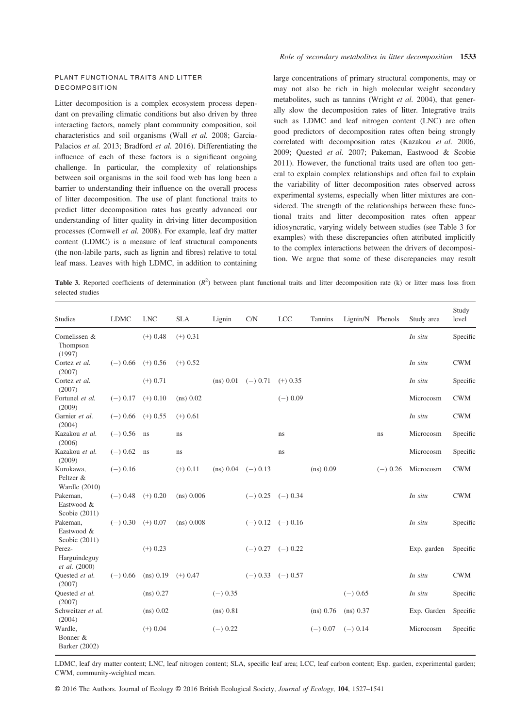## PLANT FUNCTIONAL TRAITS AND LITTER DECOMPOSITION

Litter decomposition is a complex ecosystem process dependant on prevailing climatic conditions but also driven by three interacting factors, namely plant community composition, soil characteristics and soil organisms (Wall et al. 2008; Garcia-Palacios et al. 2013; Bradford et al. 2016). Differentiating the influence of each of these factors is a significant ongoing challenge. In particular, the complexity of relationships between soil organisms in the soil food web has long been a barrier to understanding their influence on the overall process of litter decomposition. The use of plant functional traits to predict litter decomposition rates has greatly advanced our understanding of litter quality in driving litter decomposition processes (Cornwell et al. 2008). For example, leaf dry matter content (LDMC) is a measure of leaf structural components (the non-labile parts, such as lignin and fibres) relative to total leaf mass. Leaves with high LDMC, in addition to containing

large concentrations of primary structural components, may or may not also be rich in high molecular weight secondary metabolites, such as tannins (Wright *et al.* 2004), that generally slow the decomposition rates of litter. Integrative traits such as LDMC and leaf nitrogen content (LNC) are often good predictors of decomposition rates often being strongly correlated with decomposition rates (Kazakou et al. 2006, 2009; Quested et al. 2007; Pakeman, Eastwood & Scobie 2011). However, the functional traits used are often too general to explain complex relationships and often fail to explain the variability of litter decomposition rates observed across experimental systems, especially when litter mixtures are considered. The strength of the relationships between these functional traits and litter decomposition rates often appear idiosyncratic, varying widely between studies (see Table 3 for examples) with these discrepancies often attributed implicitly to the complex interactions between the drivers of decomposition. We argue that some of these discrepancies may result

**Table 3.** Reported coefficients of determination  $(R^2)$  between plant functional traits and litter decomposition rate (k) or litter mass loss from selected studies

| <b>Studies</b>                            | <b>LDMC</b> | <b>LNC</b>  | <b>SLA</b>   | Lignin      | C/N        | <b>LCC</b>            | Tannins     | Lignin/N Phenols |            | Study area  | Study<br>level |
|-------------------------------------------|-------------|-------------|--------------|-------------|------------|-----------------------|-------------|------------------|------------|-------------|----------------|
| Cornelissen &<br>Thompson<br>(1997)       |             | $(+)$ 0.48  | $(+)$ 0.31   |             |            |                       |             |                  |            | In situ     | Specific       |
| Cortez et al.<br>(2007)                   | $(-)$ 0.66  | $(+)$ 0.56  | $(+)$ 0.52   |             |            |                       |             |                  |            | In situ     | <b>CWM</b>     |
| Cortez et al.<br>(2007)                   |             | $(+)$ 0.71  |              | (ns) 0.01   | $(-)$ 0.71 | $(+)$ 0.35            |             |                  |            | In situ     | Specific       |
| Fortunel et al.<br>(2009)                 | $(-)$ 0.17  | $(+)$ 0.10  | $(ns)$ 0.02  |             |            | $(-)$ 0.09            |             |                  |            | Microcosm   | <b>CWM</b>     |
| Garnier et al.<br>(2004)                  | $(-)$ 0.66  | $(+)$ 0.55  | $(+)$ 0.61   |             |            |                       |             |                  |            | In situ     | <b>CWM</b>     |
| Kazakou et al.<br>(2006)                  | $(-)$ 0.56  | ns          | ns           |             |            | ns                    |             |                  | ns         | Microcosm   | Specific       |
| Kazakou et al.<br>(2009)                  | $(-)$ 0.62  | ns          | ns           |             |            | ns                    |             |                  |            | Microcosm   | Specific       |
| Kurokawa,<br>Peltzer &<br>Wardle $(2010)$ | $(-)$ 0.16  |             | $(+)$ 0.11   | $(ns)$ 0.04 | $(-)$ 0.13 |                       | $(ns)$ 0.09 |                  | $(-)$ 0.26 | Microcosm   | <b>CWM</b>     |
| Pakeman,<br>Eastwood &<br>Scobie $(2011)$ | $(-)$ 0.48  | $(+)$ 0.20  | $(ns)$ 0.006 |             |            | $(-)$ 0.25 $(-)$ 0.34 |             |                  |            | In situ     | <b>CWM</b>     |
| Pakeman,<br>Eastwood &<br>Scobie (2011)   | $(-)$ 0.30  | $(+)$ 0.07  | $(ns)$ 0.008 |             |            | $(-)$ 0.12 $(-)$ 0.16 |             |                  |            | In situ     | Specific       |
| Perez-<br>Harguindeguy<br>et al. (2000)   |             | $(+)$ 0.23  |              |             |            | $(-)$ 0.27 $(-)$ 0.22 |             |                  |            | Exp. garden | Specific       |
| Quested et al.<br>(2007)                  | $(-)$ 0.66  | $(ns)$ 0.19 | $(+)$ 0.47   |             | $(-)$ 0.33 | $(-)$ 0.57            |             |                  |            | In situ     | <b>CWM</b>     |
| Quested et al.<br>(2007)                  |             | $(ns)$ 0.27 |              | $(-)$ 0.35  |            |                       |             | $(-)$ 0.65       |            | In situ     | Specific       |
| Schweitzer et al.<br>(2004)               |             | $(ns)$ 0.02 |              | $(ns)$ 0.81 |            |                       | $(ns)$ 0.76 | $(ns)$ 0.37      |            | Exp. Garden | Specific       |
| Wardle,<br>Bonner &<br>Barker (2002)      |             | $(+)$ 0.04  |              | $(-)$ 0.22  |            |                       | $(-)$ 0.07  | $(-)$ 0.14       |            | Microcosm   | Specific       |

LDMC, leaf dry matter content; LNC, leaf nitrogen content; SLA, specific leaf area; LCC, leaf carbon content; Exp. garden, experimental garden; CWM, community-weighted mean.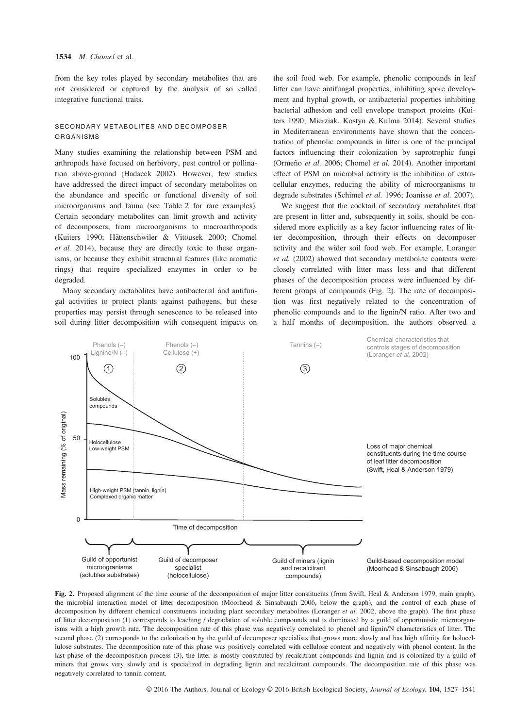### 1534 M. Chomel et al.

from the key roles played by secondary metabolites that are not considered or captured by the analysis of so called integrative functional traits.

# SECONDARY METABOLITES AND DECOMPOSER ORGANISMS

Many studies examining the relationship between PSM and arthropods have focused on herbivory, pest control or pollination above-ground (Hadacek 2002). However, few studies have addressed the direct impact of secondary metabolites on the abundance and specific or functional diversity of soil microorganisms and fauna (see Table 2 for rare examples). Certain secondary metabolites can limit growth and activity of decomposers, from microorganisms to macroarthropods (Kuiters 1990; Hättenschwiler & Vitousek 2000; Chomel et al. 2014), because they are directly toxic to these organisms, or because they exhibit structural features (like aromatic rings) that require specialized enzymes in order to be degraded.

Many secondary metabolites have antibacterial and antifungal activities to protect plants against pathogens, but these properties may persist through senescence to be released into soil during litter decomposition with consequent impacts on

the soil food web. For example, phenolic compounds in leaf litter can have antifungal properties, inhibiting spore development and hyphal growth, or antibacterial properties inhibiting bacterial adhesion and cell envelope transport proteins (Kuiters 1990; Mierziak, Kostyn & Kulma 2014). Several studies in Mediterranean environments have shown that the concentration of phenolic compounds in litter is one of the principal factors influencing their colonization by saprotrophic fungi (Ormeño et al. 2006; Chomel et al. 2014). Another important effect of PSM on microbial activity is the inhibition of extracellular enzymes, reducing the ability of microorganisms to degrade substrates (Schimel et al. 1996; Joanisse et al. 2007).

We suggest that the cocktail of secondary metabolites that are present in litter and, subsequently in soils, should be considered more explicitly as a key factor influencing rates of litter decomposition, through their effects on decomposer activity and the wider soil food web. For example, Loranger et al. (2002) showed that secondary metabolite contents were closely correlated with litter mass loss and that different phases of the decomposition process were influenced by different groups of compounds (Fig. 2). The rate of decomposition was first negatively related to the concentration of phenolic compounds and to the lignin/N ratio. After two and a half months of decomposition, the authors observed a



Fig. 2. Proposed alignment of the time course of the decomposition of major litter constituents (from Swift, Heal & Anderson 1979, main graph), the microbial interaction model of litter decomposition (Moorhead & Sinsabaugh 2006, below the graph), and the control of each phase of decomposition by different chemical constituents including plant secondary metabolites (Loranger et al. 2002, above the graph). The first phase of litter decomposition (1) corresponds to leaching / degradation of soluble compounds and is dominated by a guild of opportunistic microorganisms with a high growth rate. The decomposition rate of this phase was negatively correlated to phenol and lignin/N characteristics of litter. The second phase (2) corresponds to the colonization by the guild of decomposer specialists that grows more slowly and has high affinity for holocellulose substrates. The decomposition rate of this phase was positively correlated with cellulose content and negatively with phenol content. In the last phase of the decomposition process (3), the litter is mostly constituted by recalcitrant compounds and lignin and is colonized by a guild of miners that grows very slowly and is specialized in degrading lignin and recalcitrant compounds. The decomposition rate of this phase was negatively correlated to tannin content.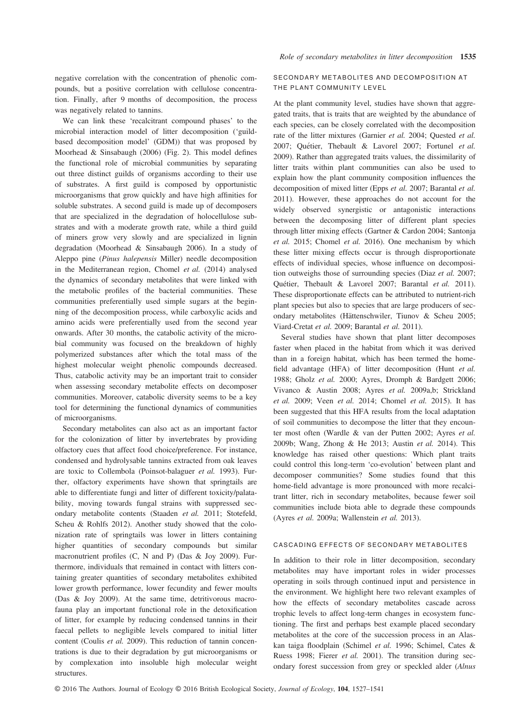negative correlation with the concentration of phenolic compounds, but a positive correlation with cellulose concentration. Finally, after 9 months of decomposition, the process was negatively related to tannins.

We can link these 'recalcitrant compound phases' to the microbial interaction model of litter decomposition ('guildbased decomposition model' (GDM)) that was proposed by Moorhead & Sinsabaugh (2006) (Fig. 2). This model defines the functional role of microbial communities by separating out three distinct guilds of organisms according to their use of substrates. A first guild is composed by opportunistic microorganisms that grow quickly and have high affinities for soluble substrates. A second guild is made up of decomposers that are specialized in the degradation of holocellulose substrates and with a moderate growth rate, while a third guild of miners grow very slowly and are specialized in lignin degradation (Moorhead & Sinsabaugh 2006). In a study of Aleppo pine (Pinus halepensis Miller) needle decomposition in the Mediterranean region, Chomel et al. (2014) analysed the dynamics of secondary metabolites that were linked with the metabolic profiles of the bacterial communities. These communities preferentially used simple sugars at the beginning of the decomposition process, while carboxylic acids and amino acids were preferentially used from the second year onwards. After 30 months, the catabolic activity of the microbial community was focused on the breakdown of highly polymerized substances after which the total mass of the highest molecular weight phenolic compounds decreased. Thus, catabolic activity may be an important trait to consider when assessing secondary metabolite effects on decomposer communities. Moreover, catabolic diversity seems to be a key tool for determining the functional dynamics of communities of microorganisms.

Secondary metabolites can also act as an important factor for the colonization of litter by invertebrates by providing olfactory cues that affect food choice/preference. For instance, condensed and hydrolysable tannins extracted from oak leaves are toxic to Collembola (Poinsot-balaguer et al. 1993). Further, olfactory experiments have shown that springtails are able to differentiate fungi and litter of different toxicity/palatability, moving towards fungal strains with suppressed secondary metabolite contents (Staaden et al. 2011; Stotefeld, Scheu & Rohlfs 2012). Another study showed that the colonization rate of springtails was lower in litters containing higher quantities of secondary compounds but similar macronutrient profiles (C, N and P) (Das & Joy 2009). Furthermore, individuals that remained in contact with litters containing greater quantities of secondary metabolites exhibited lower growth performance, lower fecundity and fewer moults (Das & Joy 2009). At the same time, detritivorous macrofauna play an important functional role in the detoxification of litter, for example by reducing condensed tannins in their faecal pellets to negligible levels compared to initial litter content (Coulis et al. 2009). This reduction of tannin concentrations is due to their degradation by gut microorganisms or by complexation into insoluble high molecular weight structures.

## SECONDARY METABOLITES AND DECOMPOSITION AT THE PLANT COMMUNITY LEVEL

At the plant community level, studies have shown that aggregated traits, that is traits that are weighted by the abundance of each species, can be closely correlated with the decomposition rate of the litter mixtures (Garnier et al. 2004; Quested et al. 2007; Quétier, Thebault & Lavorel 2007; Fortunel et al. 2009). Rather than aggregated traits values, the dissimilarity of litter traits within plant communities can also be used to explain how the plant community composition influences the decomposition of mixed litter (Epps et al. 2007; Barantal et al. 2011). However, these approaches do not account for the widely observed synergistic or antagonistic interactions between the decomposing litter of different plant species through litter mixing effects (Gartner & Cardon 2004; Santonja et al. 2015; Chomel et al. 2016). One mechanism by which these litter mixing effects occur is through disproportionate effects of individual species, whose influence on decomposition outweighs those of surrounding species (Diaz et al. 2007; Quétier, Thebault & Lavorel 2007; Barantal et al. 2011). These disproportionate effects can be attributed to nutrient-rich plant species but also to species that are large producers of secondary metabolites (Hättenschwiler, Tiunov & Scheu 2005; Viard-Cretat et al. 2009; Barantal et al. 2011).

Several studies have shown that plant litter decomposes faster when placed in the habitat from which it was derived than in a foreign habitat, which has been termed the homefield advantage (HFA) of litter decomposition (Hunt et al. 1988; Gholz et al. 2000; Ayres, Dromph & Bardgett 2006; Vivanco & Austin 2008; Ayres et al. 2009a,b; Strickland et al. 2009; Veen et al. 2014; Chomel et al. 2015). It has been suggested that this HFA results from the local adaptation of soil communities to decompose the litter that they encounter most often (Wardle & van der Putten 2002; Ayres et al. 2009b; Wang, Zhong & He 2013; Austin et al. 2014). This knowledge has raised other questions: Which plant traits could control this long-term 'co-evolution' between plant and decomposer communities? Some studies found that this home-field advantage is more pronounced with more recalcitrant litter, rich in secondary metabolites, because fewer soil communities include biota able to degrade these compounds (Ayres et al. 2009a; Wallenstein et al. 2013).

## CASCADING EFFECTS OF SECONDARY METABOLITES

In addition to their role in litter decomposition, secondary metabolites may have important roles in wider processes operating in soils through continued input and persistence in the environment. We highlight here two relevant examples of how the effects of secondary metabolites cascade across trophic levels to affect long-term changes in ecosystem functioning. The first and perhaps best example placed secondary metabolites at the core of the succession process in an Alaskan taiga floodplain (Schimel et al. 1996; Schimel, Cates & Ruess 1998; Fierer et al. 2001). The transition during secondary forest succession from grey or speckled alder (Alnus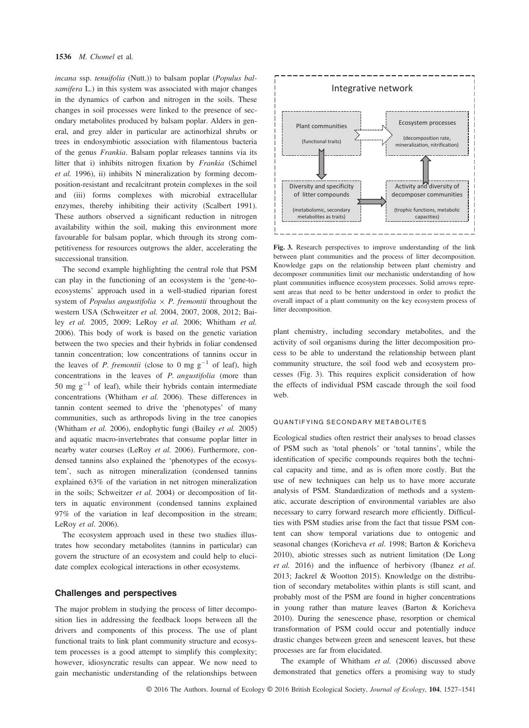incana ssp. tenuifolia (Nutt.)) to balsam poplar (Populus balsamifera L.) in this system was associated with major changes in the dynamics of carbon and nitrogen in the soils. These changes in soil processes were linked to the presence of secondary metabolites produced by balsam poplar. Alders in general, and grey alder in particular are actinorhizal shrubs or trees in endosymbiotic association with filamentous bacteria of the genus Frankia. Balsam poplar releases tannins via its litter that i) inhibits nitrogen fixation by Frankia (Schimel et al. 1996), ii) inhibits N mineralization by forming decomposition-resistant and recalcitrant protein complexes in the soil and (iii) forms complexes with microbial extracellular enzymes, thereby inhibiting their activity (Scalbert 1991). These authors observed a significant reduction in nitrogen availability within the soil, making this environment more favourable for balsam poplar, which through its strong competitiveness for resources outgrows the alder, accelerating the successional transition.

The second example highlighting the central role that PSM can play in the functioning of an ecosystem is the 'gene-toecosystems' approach used in a well-studied riparian forest system of *Populus angustifolia*  $\times$  *P. fremontii* throughout the western USA (Schweitzer et al. 2004, 2007, 2008, 2012; Bailey et al. 2005, 2009; LeRoy et al. 2006; Whitham et al. 2006). This body of work is based on the genetic variation between the two species and their hybrids in foliar condensed tannin concentration; low concentrations of tannins occur in the leaves of *P. fremontii* (close to 0 mg  $g^{-1}$  of leaf), high concentrations in the leaves of P. angustifolia (more than 50 mg  $g^{-1}$  of leaf), while their hybrids contain intermediate concentrations (Whitham et al. 2006). These differences in tannin content seemed to drive the 'phenotypes' of many communities, such as arthropods living in the tree canopies (Whitham et al. 2006), endophytic fungi (Bailey et al. 2005) and aquatic macro-invertebrates that consume poplar litter in nearby water courses (LeRoy et al. 2006). Furthermore, condensed tannins also explained the 'phenotypes of the ecosystem', such as nitrogen mineralization (condensed tannins explained 63% of the variation in net nitrogen mineralization in the soils; Schweitzer et al. 2004) or decomposition of litters in aquatic environment (condensed tannins explained 97% of the variation in leaf decomposition in the stream; LeRoy et al. 2006).

The ecosystem approach used in these two studies illustrates how secondary metabolites (tannins in particular) can govern the structure of an ecosystem and could help to elucidate complex ecological interactions in other ecosystems.

## Challenges and perspectives

The major problem in studying the process of litter decomposition lies in addressing the feedback loops between all the drivers and components of this process. The use of plant functional traits to link plant community structure and ecosystem processes is a good attempt to simplify this complexity; however, idiosyncratic results can appear. We now need to gain mechanistic understanding of the relationships between



Fig. 3. Research perspectives to improve understanding of the link between plant communities and the process of litter decomposition. Knowledge gaps on the relationship between plant chemistry and decomposer communities limit our mechanistic understanding of how plant communities influence ecosystem processes. Solid arrows represent areas that need to be better understood in order to predict the overall impact of a plant community on the key ecosystem process of litter decomposition.

plant chemistry, including secondary metabolites, and the activity of soil organisms during the litter decomposition process to be able to understand the relationship between plant community structure, the soil food web and ecosystem processes (Fig. 3). This requires explicit consideration of how the effects of individual PSM cascade through the soil food web.

### QUANTIFYING SECONDARY METABOLITES

Ecological studies often restrict their analyses to broad classes of PSM such as 'total phenols' or 'total tannins', while the identification of specific compounds requires both the technical capacity and time, and as is often more costly. But the use of new techniques can help us to have more accurate analysis of PSM. Standardization of methods and a systematic, accurate description of environmental variables are also necessary to carry forward research more efficiently. Difficulties with PSM studies arise from the fact that tissue PSM content can show temporal variations due to ontogenic and seasonal changes (Koricheva et al. 1998; Barton & Koricheva 2010), abiotic stresses such as nutrient limitation (De Long et al. 2016) and the influence of herbivory (Ibanez et al. 2013; Jackrel & Wootton 2015). Knowledge on the distribution of secondary metabolites within plants is still scant, and probably most of the PSM are found in higher concentrations in young rather than mature leaves (Barton & Koricheva 2010). During the senescence phase, resorption or chemical transformation of PSM could occur and potentially induce drastic changes between green and senescent leaves, but these processes are far from elucidated.

The example of Whitham et al. (2006) discussed above demonstrated that genetics offers a promising way to study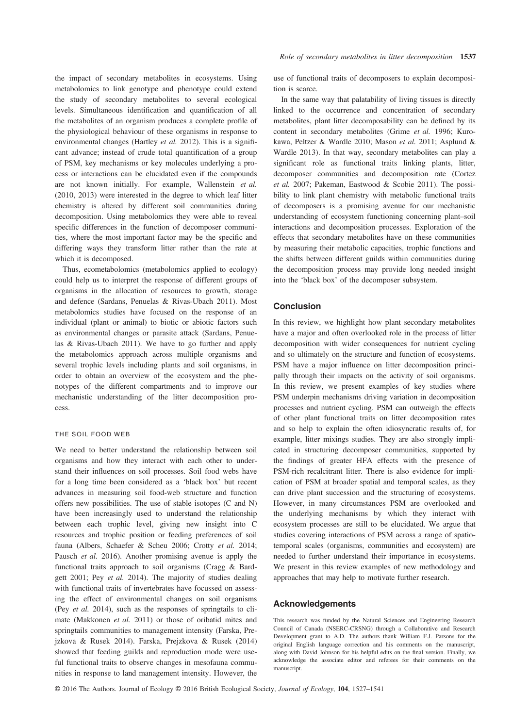the impact of secondary metabolites in ecosystems. Using metabolomics to link genotype and phenotype could extend the study of secondary metabolites to several ecological levels. Simultaneous identification and quantification of all the metabolites of an organism produces a complete profile of the physiological behaviour of these organisms in response to environmental changes (Hartley et al. 2012). This is a significant advance; instead of crude total quantification of a group of PSM, key mechanisms or key molecules underlying a process or interactions can be elucidated even if the compounds are not known initially. For example, Wallenstein et al. (2010, 2013) were interested in the degree to which leaf litter chemistry is altered by different soil communities during decomposition. Using metabolomics they were able to reveal specific differences in the function of decomposer communities, where the most important factor may be the specific and differing ways they transform litter rather than the rate at which it is decomposed.

Thus, ecometabolomics (metabolomics applied to ecology) could help us to interpret the response of different groups of organisms in the allocation of resources to growth, storage and defence (Sardans, Penuelas & Rivas-Ubach 2011). Most metabolomics studies have focused on the response of an individual (plant or animal) to biotic or abiotic factors such as environmental changes or parasite attack (Sardans, Penuelas & Rivas-Ubach 2011). We have to go further and apply the metabolomics approach across multiple organisms and several trophic levels including plants and soil organisms, in order to obtain an overview of the ecosystem and the phenotypes of the different compartments and to improve our mechanistic understanding of the litter decomposition process.

## THE SOIL FOOD WEB

We need to better understand the relationship between soil organisms and how they interact with each other to understand their influences on soil processes. Soil food webs have for a long time been considered as a 'black box' but recent advances in measuring soil food-web structure and function offers new possibilities. The use of stable isotopes (C and N) have been increasingly used to understand the relationship between each trophic level, giving new insight into C resources and trophic position or feeding preferences of soil fauna (Albers, Schaefer & Scheu 2006; Crotty et al. 2014; Pausch et al. 2016). Another promising avenue is apply the functional traits approach to soil organisms (Cragg & Bardgett 2001; Pey et al. 2014). The majority of studies dealing with functional traits of invertebrates have focussed on assessing the effect of environmental changes on soil organisms (Pey et al. 2014), such as the responses of springtails to climate (Makkonen et al. 2011) or those of oribatid mites and springtails communities to management intensity (Farska, Prejzkova & Rusek 2014). Farska, Prejzkova & Rusek (2014) showed that feeding guilds and reproduction mode were useful functional traits to observe changes in mesofauna communities in response to land management intensity. However, the

use of functional traits of decomposers to explain decomposition is scarce.

In the same way that palatability of living tissues is directly linked to the occurrence and concentration of secondary metabolites, plant litter decomposability can be defined by its content in secondary metabolites (Grime et al. 1996; Kurokawa, Peltzer & Wardle 2010; Mason et al. 2011; Asplund & Wardle 2013). In that way, secondary metabolites can play a significant role as functional traits linking plants, litter, decomposer communities and decomposition rate (Cortez et al. 2007; Pakeman, Eastwood & Scobie 2011). The possibility to link plant chemistry with metabolic functional traits of decomposers is a promising avenue for our mechanistic understanding of ecosystem functioning concerning plant–soil interactions and decomposition processes. Exploration of the effects that secondary metabolites have on these communities by measuring their metabolic capacities, trophic functions and the shifts between different guilds within communities during the decomposition process may provide long needed insight into the 'black box' of the decomposer subsystem.

# Conclusion

In this review, we highlight how plant secondary metabolites have a major and often overlooked role in the process of litter decomposition with wider consequences for nutrient cycling and so ultimately on the structure and function of ecosystems. PSM have a major influence on litter decomposition principally through their impacts on the activity of soil organisms. In this review, we present examples of key studies where PSM underpin mechanisms driving variation in decomposition processes and nutrient cycling. PSM can outweigh the effects of other plant functional traits on litter decomposition rates and so help to explain the often idiosyncratic results of, for example, litter mixings studies. They are also strongly implicated in structuring decomposer communities, supported by the findings of greater HFA effects with the presence of PSM-rich recalcitrant litter. There is also evidence for implication of PSM at broader spatial and temporal scales, as they can drive plant succession and the structuring of ecosystems. However, in many circumstances PSM are overlooked and the underlying mechanisms by which they interact with ecosystem processes are still to be elucidated. We argue that studies covering interactions of PSM across a range of spatiotemporal scales (organisms, communities and ecosystem) are needed to further understand their importance in ecosystems. We present in this review examples of new methodology and approaches that may help to motivate further research.

#### Acknowledgements

This research was funded by the Natural Sciences and Engineering Research Council of Canada (NSERC-CRSNG) through a Collaborative and Research Development grant to A.D. The authors thank William F.J. Parsons for the original English language correction and his comments on the manuscript, along with David Johnson for his helpful edits on the final version. Finally, we acknowledge the associate editor and referees for their comments on the manuscript.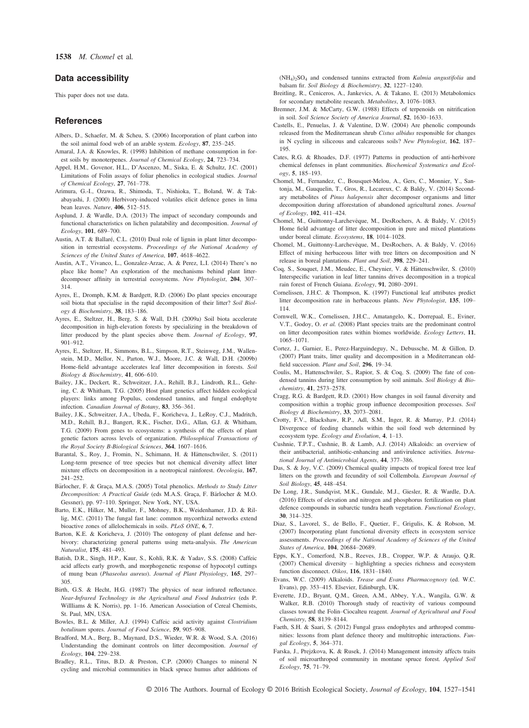# Data accessibility

This paper does not use data.

## **References**

- Albers, D., Schaefer, M. & Scheu, S. (2006) Incorporation of plant carbon into the soil animal food web of an arable system. Ecology, 87, 235–245.
- Amaral, J.A. & Knowles, R. (1998) Inhibition of methane consumption in for-
- est soils by monoterpenes. Journal of Chemical Ecology, 24, 723–734.<br>Appel, H.M., Govenor, H.L., D'Ascenzo, M., Siska, E. & Schultz, J.C. (2001) Limitations of Folin assays of foliar phenolics in ecological studies. Journal of Chemical Ecology, 27, 761–778.
- Arimura, G.-I., Ozawa, R., Shimoda, T., Nishioka, T., Boland, W. & Takabayashi, J. (2000) Herbivory-induced volatiles elicit defence genes in lima bean leaves. Nature, 406, 512–515.
- Asplund, J. & Wardle, D.A. (2013) The impact of secondary compounds and functional characteristics on lichen palatability and decomposition. Journal of
- Ecology, **101**, 689–700.<br>Austin, A.T. & Ballaré, C.L. (2010) Dual role of lignin in plant litter decomposition in terrestrial ecosystems. Proceedings of the National Academy of Sciences of the United States of America, 107, 4618–4622.
- Austin, A.T., Vivanco, L., Gonzalez-Arzac, A. & Perez, L.I. (2014) There's no place like home? An exploration of the mechanisms behind plant litterdecomposer affinity in terrestrial ecosystems. New Phytologist, 204, 307– 314.
- Ayres, E., Dromph, K.M. & Bardgett, R.D. (2006) Do plant species encourage soil biota that specialise in the rapid decomposition of their litter? Soil Biol-<br> $\alpha$ ev & Biochemistry, **38**, 183-186.
- ogy & Biochemistry, 38, 183–186. Ayres, E., Steltzer, H., Berg, S. & Wall, D.H. (2009a) Soil biota accelerate decomposition in high-elevation forests by specializing in the breakdown of litter produced by the plant species above them. Journal of Ecology, 97, 901–912.
- Ayres, E., Steltzer, H., Simmons, B.L., Simpson, R.T., Steinweg, J.M., Wallenstein, M.D., Mellor, N., Parton, W.J., Moore, J.C. & Wall, D.H. (2009b) Home-field advantage accelerates leaf litter decomposition in forests. Soil Biology & Biochemistry, 41, 606–610.
- Bailey, J.K., Deckert, R., Schweitzer, J.A., Rehill, B.J., Lindroth, R.L., Gehring, C. & Whitham, T.G. (2005) Host plant genetics affect hidden ecological players: links among Populus, condensed tannins, and fungal endophyte infection. Canadian Journal of Botany, 83, 356–361.
- Bailey, J.K., Schweitzer, J.A., Ubeda, F., Koricheva, J., LeRoy, C.J., Madritch, M.D., Rehill, B.J., Bangert, R.K., Fischer, D.G., Allan, G.J. & Whitham, T.G. (2009) From genes to ecosystems: a synthesis of the effects of plant genetic factors across levels of organization. Philosophical Transactions of the Royal Society B-Biological Sciences, 364, 1607–1616.
- Barantal, S., Roy, J., Fromin, N., Schimann, H. & Hättenschwiler, S. (2011) Long-term presence of tree species but not chemical diversity affect litter mixture effects on decomposition in a neotropical rainforest. Oecologia, 167, 241–252.
- Bärlocher, F. & Graca, M.A.S. (2005) Total phenolics. Methods to Study Litter Decomposition: A Practical Guide (eds M.A.S. Graça, F. Bärlocher & M.O. Gessner), pp. 97–110. Springer, New York, NY, USA.
- Barto, E.K., Hilker, M., Muller, F., Mohney, B.K., Weidenhamer, J.D. & Rillig, M.C. (2011) The fungal fast lane: common mycorrhizal networks extend bioactive zones of allelochemicals in soils. PLoS ONE, 6, 7.
- Barton, K.E. & Koricheva, J. (2010) The ontogeny of plant defense and herbivory: characterizing general patterns using meta-analysis. The American Naturalist, 175, 481–493.
- Batish, D.R., Singh, H.P., Kaur, S., Kohli, R.K. & Yadav, S.S. (2008) Caffeic acid affects early growth, and morphogenetic response of hypocotyl cuttings of mung bean (Phaseolus aureus). Journal of Plant Physiology, 165, 297– 305.
- Birth, G.S. & Hecht, H.G. (1987) The physics of near infrared reflectance. Near-Infrared Technology in the Agricultural and Food Industries (eds P. Willliams & K. Norris), pp. 1–16. American Association of Cereal Chemists, St. Paul, MN, USA.
- Bowles, B.L. & Miller, A.J. (1994) Caffeic acid activity against Clostridium botulinum spores. Journal of Food Science, 59, 905–908.
- Bradford, M.A., Berg, B., Maynard, D.S., Wieder, W.R. & Wood, S.A. (2016) Understanding the dominant controls on litter decomposition. Journal of Ecology, 104, 229–238.
- Bradley, R.L., Titus, B.D. & Preston, C.P. (2000) Changes to mineral N cycling and microbial communities in black spruce humus after additions of

 $(NH<sub>4</sub>)<sub>2</sub>SO<sub>4</sub>$  and condensed tannins extracted from Kalmia angustifolia and balsam fir. Soil Biology & Biochemistry, 32, 1227–1240.

- Breitling, R., Ceniceros, A., Jankevics, A. & Takano, E. (2013) Metabolomics for secondary metabolite research. Metabolites, 3, 1076–1083.
- Bremner, J.M. & McCarty, G.W. (1988) Effects of terpenoids on nitrification
- in soil. Soil Science Society of America Journal, 52, 1630–1633.<br>Castells, E., Penuelas, J. & Valentine, D.W. (2004) Are phenolic compounds released from the Mediterranean shrub Cistus albidus responsible for changes in N cycling in siliceous and calcareous soils? New Phytologist, 162, 187– 195.
- Cates, R.G. & Rhoades, D.F. (1977) Patterns in production of anti-herbivore chemical defenses in plant communities. Biochemical Systematics and Ecol-
- ogy, 5, 185–193. Chomel, M., Fernandez, C., Bousquet-Melou, A., Gers, C., Monnier, Y., Santonja, M., Gauquelin, T., Gros, R., Lecareux, C. & Baldy, V. (2014) Secondary metabolites of Pinus halepensis alter decomposer organisms and litter decomposition during afforestation of abandoned agricultural zones. Journal
- of Ecology, 102, 411–424.<br>Chomel, M., Guittonny-Larchevêque, M., DesRochers, A. & Baldy, V. (2015) Home field advantage of litter decomposition in pure and mixed plantations under boreal climate. Ecosystems, 18, 1014–1028.
- Chomel, M., Guittonny-Larchevêque, M., DesRochers, A. & Baldy, V. (2016) Effect of mixing herbaceous litter with tree litters on decomposition and N release in boreal plantations. Plant and Soil, 398, 229–241.
- Coq, S., Souquet, J.M., Meudec, E., Cheynier, V. & Hättenschwiler, S. (2010) Interspecific variation in leaf litter tannins drives decomposition in a tropical rain forest of French Guiana. Ecology, 91, 2080–2091.
- Cornelissen, J.H.C. & Thompson, K. (1997) Functional leaf attributes predict litter decomposition rate in herbaceous plants. New Phytologist, 135, 109– 114.
- Cornwell, W.K., Cornelissen, J.H.C., Amatangelo, K., Dorrepaal, E., Eviner, V.T., Godoy, O. et al. (2008) Plant species traits are the predominant control on litter decomposition rates within biomes worldwide. Ecology Letters, 11, 1065–1071.
- Cortez, J., Garnier, E., Perez-Harguindeguy, N., Debussche, M. & Gillon, D. (2007) Plant traits, litter quality and decomposition in a Mediterranean oldfield succession. Plant and Soil, 296, 19–34.
- Coulis, M., Hattenschwiler, S., Rapior, S. & Coq, S. (2009) The fate of condensed tannins during litter consumption by soil animals. Soil Biology & Biochemistry, 41, 2573–2578.
- Cragg, R.G. & Bardgett, R.D. (2001) How changes in soil faunal diversity and composition within a trophic group influence decomposition processes. Soil Biology & Biochemistry, 33, 2073–2081.
- Crotty, F.V., Blackshaw, R.P., Adl, S.M., Inger, R. & Murray, P.J. (2014) Divergence of feeding channels within the soil food web determined by ecosystem type. Ecology and Evolution, 4, 1–13.
- Cushnie, T.P.T., Cushnie, B. & Lamb, A.J. (2014) Alkaloids: an overview of their antibacterial, antibiotic-enhancing and antivirulence activities. International Journal of Antimicrobial Agents, 44, 377–386.
- Das, S. & Joy, V.C. (2009) Chemical quality impacts of tropical forest tree leaf litters on the growth and fecundity of soil Collembola. European Journal of Soil Biology, 45, 448–454.
- De Long, J.R., Sundqvist, M.K., Gundale, M.J., Giesler, R. & Wardle, D.A. (2016) Effects of elevation and nitrogen and phosphorus fertilization on plant defence compounds in subarctic tundra heath vegetation. Functional Ecology, 30, 314–325.
- Diaz, S., Lavorel, S., de Bello, F., Quetier, F., Grigulis, K. & Robson, M. (2007) Incorporating plant functional diversity effects in ecosystem service assessments. Proceedings of the National Academy of Sciences of the United States of America, 104, 20684–20689.
- Epps, K.Y., Comerford, N.B., Reeves, J.B., Cropper, W.P. & Araujo, Q.R. (2007) Chemical diversity – highlighting a species richness and ecosystem function disconnect. Oikos, <sup>116</sup>, 1831–1840.
- Evans, W.C. (2009) Alkaloids. Trease and Evans Pharmacognosy (ed. W.C. Evans), pp. 353–415. Elsevier, Edinburgh, UK.
- Everette, J.D., Bryant, Q.M., Green, A.M., Abbey, Y.A., Wangila, G.W. & Walker, R.B. (2010) Thorough study of reactivity of various compound classes toward the Folin–Ciocalteu reagent. Journal of Agricultural and Food Chemistry, 58, 8139–8144.
- Faeth, S.H. & Saari, S. (2012) Fungal grass endophytes and arthropod communities: lessons from plant defence theory and multitrophic interactions. Fungal Ecology, 5, 364–371.
- Farska, J., Prejzkova, K. & Rusek, J. (2014) Management intensity affects traits of soil microarthropod community in montane spruce forest. Applied Soil Ecology, 75, 71–79.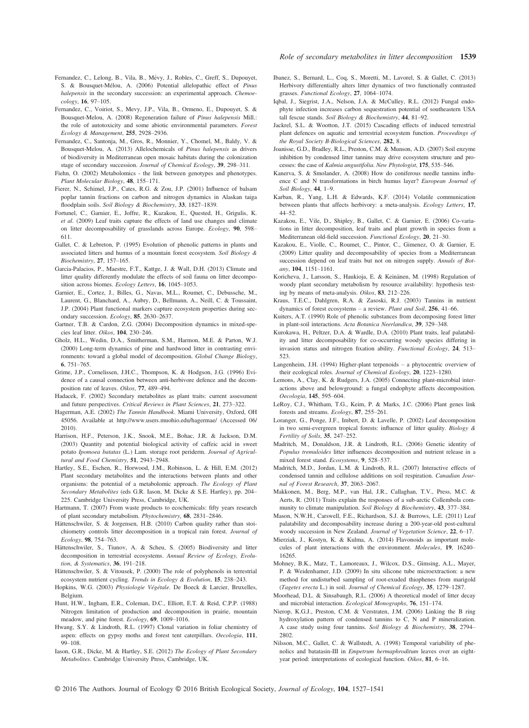- Fernandez, C., Lelong, B., Vila, B., Mévy, J., Robles, C., Greff, S., Dupouyet, S. & Bousquet-Mélou, A. (2006) Potential allelopathic effect of *Pinus* halepensis in the secondary succession: an experimental approach. *Chemoe-*
- cology, 16, 97-105.<br>Fernandez, C., Voiriot, S., Mevy, J.P., Vila, B., Ormeno, E., Dupouyet, S. & Bousquet-Melou, A. (2008) Regeneration failure of Pinus halepensis Mill.: the role of autotoxicity and some abiotic environmental parameters. Forest Ecology & Management, 255, 2928-2936.
- Ecology & Management, 255, 2928–2936. Fernandez, C., Santonja, M., Gros, R., Monnier, Y., Chomel, M., Baldy, V. & Bousquet-Melou, A. (2013) Allelochemicals of Pinus halepensis as drivers of biodiversity in Mediterranean open mosaic habitats during the colonization stage of secondary succession. Journal of Chemical Ecology, 39, 298–311.
- Fiehn, O. (2002) Metabolomics the link between genotypes and phenotypes. Plant Molecular Biology, 48, 155–171.
- Fierer, N., Schimel, J.P., Cates, R.G. & Zou, J.P. (2001) Influence of balsam poplar tannin fractions on carbon and nitrogen dynamics in Alaskan taiga floodplain soils. Soil Biology & Biochemistry, 33, 1827–1839.
- Fortunel, C., Garnier, E., Joffre, R., Kazakou, E., Quested, H., Grigulis, K. et al. (2009) Leaf traits capture the effects of land use changes and climate on litter decomposability of grasslands across Europe. Ecology, 90, 598– 611.
- Gallet, C. & Lebreton, P. (1995) Evolution of phenolic patterns in plants and associated litters and humus of a mountain forest ecosystem. Soil Biology & Biochemistry, 27, 157–165.
- Garcia-Palacios, P., Maestre, F.T., Kattge, J. & Wall, D.H. (2013) Climate and litter quality differently modulate the effects of soil fauna on litter decomposition across biomes. Ecology Letters, 16, 1045–1053.
- Garnier, E., Cortez, J., Billes, G., Navas, M.L., Roumet, C., Debussche, M., Laurent, G., Blanchard, A., Aubry, D., Bellmann, A., Neill, C. & Toussaint, J.P. (2004) Plant functional markers capture ecosystem properties during secondary succession. Ecology, 85, 2630–2637.
- Gartner, T.B. & Cardon, Z.G. (2004) Decomposition dynamics in mixed-spe-<br>cies leaf litter. Oikos. 104, 230-246.
- cies leaf litter. Oikos, 104, 230–246.<br>Gholz, H.L., Wedin, D.A., Smitherman, S.M., Harmon, M.E. & Parton, W.J. (2000) Long-term dynamics of pine and hardwood litter in contrasting environments: toward a global model of decomposition. Global Change Biology, 6. 751-765.
- 6, 751–765. Grime, J.P., Cornelissen, J.H.C., Thompson, K. & Hodgson, J.G. (1996) Evidence of a causal connection between anti-herbivore defence and the decomposition rate of leaves. Oikos, 77, 489–494.
- Hadacek, F. (2002) Secondary metabolites as plant traits: current assessment and future perspectives. Critical Reviews in Plant Sciences, 21, 273–322.
- Hagerman, A.E. (2002) The Tannin Handbook. Miami University, Oxford, OH 45056. Available at<http://www.users.muohio.edu/hagermae/> (Accessed 06/ 2010).
- Harrison, H.F., Peterson, J.K., Snook, M.E., Bohac, J.R. & Jackson, D.M. (2003) Quantity and potential biological activity of caffeic acid in sweet potato Ipomoea batatas (L.) Lam. storage root periderm. Journal of Agricultural and Food Chemistry, 51, 2943–2948.
- Hartley, S.E., Eschen, R., Horwood, J.M., Robinson, L. & Hill, E.M. (2012) Plant secondary metabolites and the interactions between plants and other organisms: the potential of a metabolomic approach. The Ecology of Plant Secondary Metabolites (eds G.R. Iason, M. Dicke & S.E. Hartley), pp. 204– 225. Cambridge University Press, Cambridge, UK.
- Hartmann, T. (2007) From waste products to ecochemicals: fifty years research of plant secondary metabolism. Phytochemistry, 68, 2831–2846.
- Hättenschwiler, S. & Jorgensen, H.B. (2010) Carbon quality rather than stoichiometry controls litter decomposition in a tropical rain forest. Journal of Ecology, 98, 754–763.<br>Hättenschwiler, S., Tiunov, A. & Scheu, S. (2005) Biodiversity and litter
- decomposition in terrestrial ecosystems. Annual Review of Ecology, Evolution, & Systematics, 36, 191–218.
- Hättenschwiler, S. & Vitousek, P. (2000) The role of polyphenols in terrestrial ecosystem nutrient cycling. Trends in Ecology & Evolution, 15, 238–243.
- Hopkins, W.G. (2003) Physiologie Végétale. De Boeck & Larcier, Bruxelles, Belgium.
- Hunt, H.W., Ingham, E.R., Coleman, D.C., Elliott, E.T. & Reid, C.P.P. (1988) Nitrogen limitation of production and decomposition in prairie, mountain meadow, and pine forest. Ecology, 69, 1009–1016.
- Hwang, S.Y. & Lindroth, R.L. (1997) Clonal variation in foliar chemistry of aspen: effects on gypsy moths and forest tent caterpillars. Oecologia, 111, 99–108.
- Iason, G.R., Dicke, M. & Hartley, S.E. (2012) The Ecology of Plant Secondary Metabolites. Cambridge University Press, Cambridge, UK.
- Ibanez, S., Bernard, L., Coq, S., Moretti, M., Lavorel, S. & Gallet, C. (2013) Herbivory differentially alters litter dynamics of two functionally contrasted
- grasses. Functional Ecology, 27, 1064–1074.<br>Iqbal, J., Siegrist, J.A., Nelson, J.A. & McCulley, R.L. (2012) Fungal endophyte infection increases carbon sequestration potential of southeastern USA
- tall fescue stands. Soil Biology & Biochemistry, 44, 81–92.<br>Jackrel, S.L. & Wootton, J.T. (2015) Cascading effects of induced terrestrial plant defences on aquatic and terrestrial ecosystem function. *Proceedings of* the Royal Society B-Biological Sciences, 282, 8.
- the Royal Society B-Biological Sciences, 282, 8. Joanisse, G.D., Bradley, R.L., Preston, C.M. & Munson, A.D. (2007) Soil enzyme inhibition by condensed litter tannins may drive ecosystem structure and processes: the case of Kalmia angustifolia. New Phytologist, 175, 535–546.
- Kanerva, S. & Smolander, A. (2008) How do coniferous needle tannins influence C and N transformations in birch humus layer? European Journal of Soil Biology, 44, 1–9.
- Karban, R., Yang, L.H. & Edwards, K.F. (2014) Volatile communication between plants that affects herbivory: a meta-analysis. Ecology Letters, 17, 44–52.
- Kazakou, E., Vile, D., Shipley, B., Gallet, C. & Garnier, E. (2006) Co-variations in litter decomposition, leaf traits and plant growth in species from a Mediterranean old-field succession. Functional Ecology, 20, 21–30.
- Kazakou, E., Violle, C., Roumet, C., Pintor, C., Gimenez, O. & Garnier, E. (2009) Litter quality and decomposability of species from a Mediterranean succession depend on leaf traits but not on nitrogen supply. Annals of Botany, 104, 1151–1161.
- Koricheva, J., Larsson, S., Haukioja, E. & Keinänen, M. (1998) Regulation of woody plant secondary metabolism by resource availability: hypothesis testing by means of meta-analysis. Oikos, 83, 212–226.
- Kraus, T.E.C., Dahlgren, R.A. & Zasoski, R.J. (2003) Tannins in nutrient dynamics of forest ecosystems – a review. Plant and Soil, 256, 41–66.
- Kuiters, A.T. (1990) Role of phenolic substances from decomposing forest litter in plant-soil interactions. Acta Botanica Neerlandica, 39, 329–348.
- Kurokawa, H., Peltzer, D.A. & Wardle, D.A. (2010) Plant traits, leaf palatability and litter decomposability for co-occurring woody species differing in invasion status and nitrogen fixation ability. Functional Ecology, 24, 513– 523.
- Langenheim, J.H. (1994) Higher-plant terpenoids a phytocentric overview of their ecological roles. Journal of Chemical Ecology, 20, 1223–1280.
- Lemons, A., Clay, K. & Rudgers, J.A. (2005) Connecting plant-microbial interactions above and belowground: a fungal endophyte affects decomposition. Oecologia, 145, 595–604.
- LeRoy, C.J., Whitham, T.G., Keim, P. & Marks, J.C. (2006) Plant genes link forests and streams. Ecology, 87, 255–261.
- Loranger, G., Ponge, J.F., Imbert, D. & Lavelle, P. (2002) Leaf decomposition in two semi-evergreen tropical forests: influence of litter quality. Biology & Fertility of Soils, 35, 247–252.
- Madritch, M., Donaldson, J.R. & Lindroth, R.L. (2006) Genetic identity of Populus tremuloides litter influences decomposition and nutrient release in a mixed forest stand. Ecosystems, 9, 528–537.
- Madritch, M.D., Jordan, L.M. & Lindroth, R.L. (2007) Interactive effects of condensed tannin and cellulose additions on soil respiration. Canadian Journal of Forest Research, 37, 2063–2067.
- Makkonen, M., Berg, M.P., van Hal, J.R., Callaghan, T.V., Press, M.C. & Aerts, R. (2011) Traits explain the responses of a sub-arctic Collembola community to climate manipulation. Soil Biology & Biochemistry, 43, 377–384.
- Mason, N.W.H., Carswell, F.E., Richardson, S.J. & Burrows, L.E. (2011) Leaf palatability and decomposability increase during a 200-year-old post-cultural woody succession in New Zealand. Journal of Vegetation Science, 22, 6-17.
- Mierziak, J., Kostyn, K. & Kulma, A. (2014) Flavonoids as important molecules of plant interactions with the environment. Molecules, 19, 16240– 16265.
- Mohney, B.K., Matz, T., Lamoreaux, J., Wilcox, D.S., Gimsing, A.L., Mayer, P. & Weidenhamer, J.D. (2009) In situ silicone tube microextraction: a new method for undisturbed sampling of root-exuded thiophenes from marigold (Tagetes erecta L.) in soil. Journal of Chemical Ecology, 35, 1279–1287.
- Moorhead, D.L. & Sinsabaugh, R.L. (2006) A theoretical model of litter decay and microbial interaction. Ecological Monographs, 76, 151–174.
- Nierop, K.G.J., Preston, C.M. & Verstraten, J.M. (2006) Linking the B ring hydroxylation pattern of condensed tannins to C, N and P mineralization. A case study using four tannins. Soil Biology & Biochemistry, 38, 2794– 2802.
- Nilsson, M.C., Gallet, C. & Wallstedt, A. (1998) Temporal variability of phenolics and batatasin-III in Empetrum hermaphroditum leaves over an eightyear period: interpretations of ecological function. Oikos, 81, 6–16.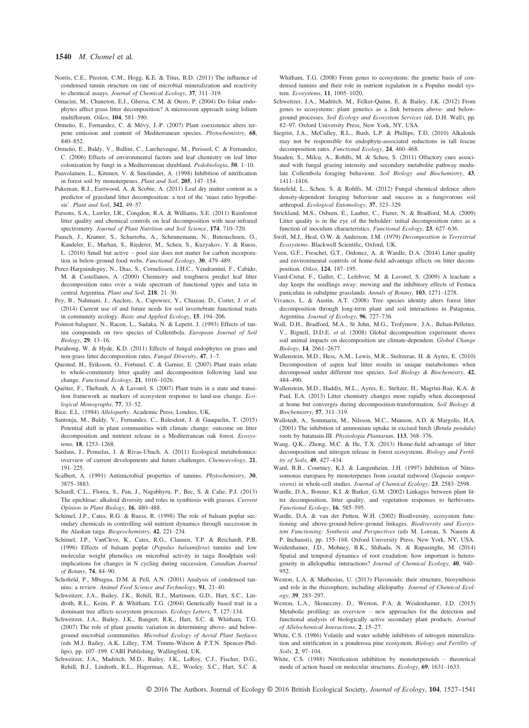- Norris, C.E., Preston, C.M., Hogg, K.E. & Titus, B.D. (2011) The influence of condensed tannin structure on rate of microbial mineralization and reactivity
- to chemical assays. *Journal of Chemical Ecology*, **37**, 311–319.<br>Omacini, M., Chaneton, E.J., Ghersa, C.M. & Otero, P. (2004) Do foliar endophytes affect grass litter decomposition? A microcosm approach using lolium multiflorum.  $Oikos$ , 104, 581–590.
- Ormeño, E., Fernandez, C. & Mévy, J.-P. (2007) Plant coexistence alters terpene emission and content of Mediterranean species. Phytochemistry, 68, 840–852.
- Ormeño, E., Baldy, V., Ballini, C., Larcheveque, M., Perissol, C. & Fernandez, C. (2006) Effects of environmental factors and leaf chemistry on leaf litter colonization by fungi in a Mediterranean shrubland. Pedobiologia, 50, 1–10.
- Paavolainen, L., Kitunen, V. & Smolander, A. (1998) Inhibition of nitrification in forest soil by monoterpenes. Plant and Soil, 205, 147–154.
- Pakeman, R.J., Eastwood, A. & Scobie, A. (2011) Leaf dry matter content as a predictor of grassland litter decomposition: a test of the 'mass ratio hypothesis'. Plant and Soil, 342, 49–57.
- Parsons, S.A., Lawler, I.R., Congdon, R.A. & Williams, S.E. (2011) Rainforest litter quality and chemical controls on leaf decomposition with near-infrared spectrometry. Journal of Plant Nutrition and Soil Science, 174, 710–720.
- Pausch, J., Kramer, S., Scharroba, A., Scheunemann, N., Butenschoen, O., Kandeler, E., Marhan, S., Riederer, M., Scheu, S., Kuzyakov, Y. & Ruess, L. (2016) Small but active – pool size does not matter for carbon incorporation in below-ground food webs. Functional Ecology, 30, 479–489.
- Perez-Harguindeguy, N., Diaz, S., Cornelissen, J.H.C., Vendramini, F., Cabido, M. & Castellanos, A. (2000) Chemistry and toughness predict leaf litter decomposition rates over a wide spectrum of functional types and taxa in central Argentina. Plant and Soil, 218, 21–30.
- Pey, B., Nahmani, J., Auclerc, A., Capowiez, Y., Cluzeau, D., Cortet, J. et al. (2014) Current use of and future needs for soil invertebrate functional traits in community ecology. Basic and Applied Ecology, 15, 194–206.
- Poinsot-balaguer, N., Racon, L., Sadaka, N. & Lepetit, J. (1993) Effects of tannin compounds on two species of Collembola. European Journal of Soil Biology, 29, 13–16.
- Purahong, W. & Hyde, K.D. (2011) Effects of fungal endophytes on grass and non-grass litter decomposition rates. Fungal Diversity, 47, 1–7.
- Quested, H., Eriksson, O., Fortunel, C. & Garnier, E. (2007) Plant traits relate to whole-community litter quality and decomposition following land use change. Functional Ecology, 21, 1016-1026.
- Quétier, F., Thebault, A. & Lavorel, S. (2007) Plant traits in a state and transition framework as markers of ecosystem response to land-use change. Ecological Monographs, 77, 33–52.
- Rice, E.L. (1984) Allelopathy. Academic Press, Londres, UK.
- Santonia, M., Baldy, V., Fernandez, C., Balesdent, J. & Gauquelin, T. (2015) Potential shift in plant communities with climate change: outcome on litter decomposition and nutrient release in a Mediterranean oak forest. Ecosystems, 18, 1253–1268.
- Sardans, J., Penuelas, J. & Rivas-Ubach, A. (2011) Ecological metabolomics: overview of current developments and future challenges. Chemoecology, 21, 191–225.
- Scalbert, A. (1991) Antimicrobial properties of tannins. *Phytochemistry*, 30, 3875–3883.
- Schardl, C.L., Florea, S., Pan, J., Nagabhyru, P., Bec, S. & Calie, P.J. (2013) The epichloae: alkaloid diversity and roles in symbiosis with grasses. Current Opinion in Plant Biology, 16, 480–488.
- Schimel, J.P., Cates, R.G. & Ruess, R. (1998) The role of balsam poplar secondary chemicals in controlling soil nutrient dynamics through succession in the Alaskan taiga. Biogeochemistry, 42, 221–234.
- Schimel, J.P., VanCleve, K., Cates, R.G., Clausen, T.P. & Reichardt, P.B. (1996) Effects of balsam poplar (Populus balsamifera) tannins and low molecular weight phenolics on microbial activity in taiga floodplain soil: implications for changes in N cycling during succession. Canadian Journal of Botany, 74, 84–90.
- Schofield, P., Mbugua, D.M. & Pell, A.N. (2001) Analysis of condensed tannins: a review. Animal Feed Science and Technology, 91, 21–40.
- Schweitzer, J.A., Bailey, J.K., Rehill, B.J., Martinsen, G.D., Hart, S.C., Lindroth, R.L., Keim, P. & Whitham, T.G. (2004) Genetically based trait in a dominant tree affects ecosystem processes. Ecology Letters, 7, 127–134.
- Schweitzer, J.A., Bailey, J.K., Bangert, R.K., Hart, S.C. & Whitham, T.G. (2007) The role of plant genetic variation in determining above- and belowground microbial communities. Microbial Ecology of Aerial Plant Surfaces (eds M.J. Bailey, A.K. Lilley, T.M. Timms-Wilson & P.T.N. Spencer-Phillips), pp. 107–199. CABI Publishing, Wallingford, UK.
- Schweitzer, J.A., Madritch, M.D., Bailey, J.K., LeRoy, C.J., Fischer, D.G., Rehill, B.J., Lindroth, R.L., Hagerman, A.E., Wooley, S.C., Hart, S.C. &

Whitham, T.G. (2008) From genes to ecosystems: the genetic basis of condensed tannins and their role in nutrient regulation in a Populus model sys-

- tem. Ecosystems, 11, 1005–1020. Schweitzer, J.A., Madritch, M., Felker-Quinn, E. & Bailey, J.K. (2012) From genes to ecosystems: plant genetics as a link between above- and belowground processes. Soil Ecology and Ecosystem Services (ed. D.H. Wall), pp. 82–97. Oxford University Press, New York, NY, USA.
- Siegrist, J.A., McCulley, R.L., Bush, L.P. & Phillips, T.D. (2010) Alkaloids may not be responsible for endophyte-associated reductions in tall fescue decomposition rates. Functional Ecology, 24, 460–468.
- Staaden, S., Milcu, A., Rohlfs, M. & Scheu, S. (2011) Olfactory cues associated with fungal grazing intensity and secondary metabolite pathway modulate Collembola foraging behaviour. Soil Biology and Biochemistry, 43, 1411–1416.
- Stotefeld, L., Scheu, S. & Rohlfs, M. (2012) Fungal chemical defence alters density-dependent foraging behaviour and success in a fungivorous soil arthropod. Ecological Entomology, 37, 323–329.
- Strickland, M.S., Osburn, E., Lauber, C., Fierer, N. & Bradford, M.A. (2009) Litter quality is in the eye of the beholder: initial decomposition rates as a function of inoculum characteristics. Functional Ecology, 23, 627–636.
- Swift, M.J., Heal, O.W. & Anderson, J.M. (1979) Decomposition in Terrestrial Ecosystems. Blackwell Scientific, Oxford, UK.
- Veen, G.F., Freschet, G.T., Ordonez, A. & Wardle, D.A. (2014) Litter quality and environmental controls of home-field advantage effects on litter decomposition. Oikos, 124, 187–195.
- Viard-Cretat, F., Gallet, C., Lefebvre, M. & Lavorel, S. (2009) A leachate a day keeps the seedlings away: mowing and the inhibitory effects of Festuca paniculata in subalpine grasslands. Annals of Botany, <sup>103</sup>, 1271–1278.
- Vivanco, L. & Austin, A.T. (2008) Tree species identity alters forest litter decomposition through long-term plant and soil interactions in Patagonia, Argentina. Journal of Ecology, 96, 727–736.
- Wall, D.H., Bradford, M.A., St John, M.G., Trofymow, J.A., Behan-Pelletier, V., Bignell, D.D.E. et al. (2008) Global decomposition experiment shows soil animal impacts on decomposition are climate-dependent. Global Change Biology, 14, 2661–2677.
- Wallenstein, M.D., Hess, A.M., Lewis, M.R., Steltzerae, H. & Ayres, E. (2010) Decomposition of aspen leaf litter results in unique metabolomes when decomposed under different tree species. Soil Biology & Biochemistry, 42, 484–490.
- Wallenstein, M.D., Haddix, M.L., Ayres, E., Steltzer, H., Magrini-Bair, K.A. & Paul, E.A. (2013) Litter chemistry changes more rapidly when decomposed at home but converges during decomposition-transformation. Soil Biology & Biochemistry, 57, 311–319.
- Wallstedt, A., Sommarin, M., Nilsson, M.C., Munson, A.D. & Margolis, H.A. (2001) The inhibition of ammonium uptake in excised birch (Betula pendula) roots by batatasin-III. Physiologia Plantarum, 113, 368–376.
- Wang, Q.K., Zhong, M.C. & He, T.X. (2013) Home-field advantage of litter decomposition and nitrogen release in forest ecosystems. Biology and Fertility of Soils, 49, 427–434.
- Ward, B.B., Courtney, K.J. & Langenheim, J.H. (1997) Inhibition of Nitrosomonas europaea by monoterpenes from coastal redwood (Sequoia sempervirens) in whole-cell studies. Journal of Chemical Ecology, 23, 2583–2598.
- Wardle, D.A., Bonner, K.I. & Barker, G.M. (2002) Linkages between plant litter decomposition, litter quality, and vegetation responses to herbivores. Functional Ecology, 16, 585–595.
- Wardle, D.A. & van der Putten, W.H. (2002) Biodiversity, ecosystem functioning and above-ground-below-ground linkages. Biodiversity and Ecosystem Functioning: Synthesis and Perspectives (eds M. Loreau, S. Naeem & P. Inchausti), pp. 155–168. Oxford University Press, New York, NY, USA.
- Weidenhamer, J.D., Mohney, B.K., Shihada, N. & Rupasinghe, M. (2014) Spatial and temporal dynamics of root exudation: how important is heterogeneity in allelopathic interactions? Journal of Chemical Ecology, 40, 940– 952
- Weston, L.A. & Mathesius, U. (2013) Flavonoids: their structure, biosynthesis and role in the rhizosphere, including allelopathy. Journal of Chemical Ecology, 39, 283–297.
- Weston, L.A., Skoneczny, D., Weston, P.A. & Weidenhamer, J.D. (2015) Metabolic profiling: an overview – new approaches for the detection and functional analysis of biologically active secondary plant products. Journal of Allelochemical Interactions, 2, 15–27.
- White, C.S. (1986) Volatile and water soluble inhibitors of nitrogen mineralization and nitrification in a ponderosa pine ecosystem. Biology and Fertility of Soils, 2, 97–104.
- White, C.S. (1988) Nitrification inhibition by monoterpenoids theoretical mode of action based on molecular structures. Ecology, 69, 1631–1633.